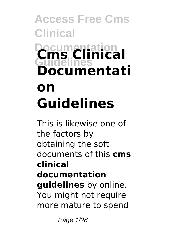# **Access Free Cms Clinical Documentation Guidelines Cms Clinical Documentati on Guidelines**

This is likewise one of the factors by obtaining the soft documents of this **cms clinical documentation guidelines** by online. You might not require more mature to spend

Page 1/28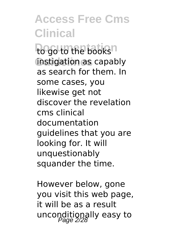to go to the books<sup>n</sup> instigation as capably as search for them. In some cases, you likewise get not discover the revelation cms clinical documentation guidelines that you are looking for. It will unquestionably squander the time.

However below, gone you visit this web page, it will be as a result unconditionally easy to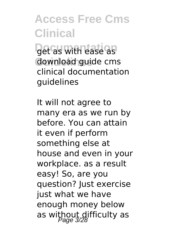**Det as with ease as** download guide cms clinical documentation guidelines

It will not agree to many era as we run by before. You can attain it even if perform something else at house and even in your workplace. as a result easy! So, are you question? Just exercise just what we have enough money below as without difficulty as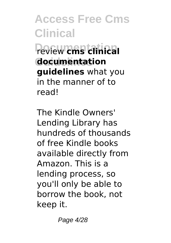**Documentation** review **cms clinical Guidelines documentation guidelines** what you in the manner of to read!

The Kindle Owners' Lending Library has hundreds of thousands of free Kindle books available directly from Amazon. This is a lending process, so you'll only be able to borrow the book, not keep it.

Page 4/28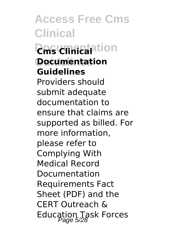**Access Free Cms Clinical** *<u>Resignation</u>* **Documentation Guidelines** Providers should submit adequate documentation to ensure that claims are supported as billed. For more information, please refer to Complying With Medical Record Documentation Requirements Fact Sheet (PDF) and the CERT Outreach & Education Task Forces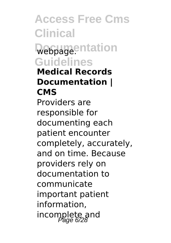**Access Free Cms Clinical** Webpage.ntation **Guidelines Medical Records Documentation | CMS** Providers are responsible for documenting each patient encounter completely, accurately, and on time. Because providers rely on documentation to communicate important patient information, incomplete and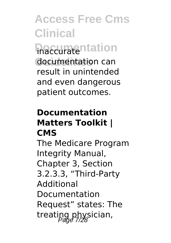**haccuratentation** documentation can result in unintended and even dangerous patient outcomes.

#### **Documentation Matters Toolkit | CMS**

The Medicare Program Integrity Manual, Chapter 3, Section 3.2.3.3, "Third-Party **Additional** Documentation Request" states: The treating physician,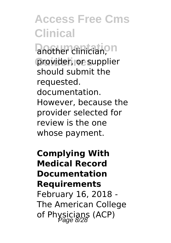another clinician,<sup>on</sup> provider, or supplier should submit the requested. documentation. However, because the provider selected for review is the one whose payment.

**Complying With Medical Record Documentation Requirements** February 16, 2018 - The American College of Physicians (ACP)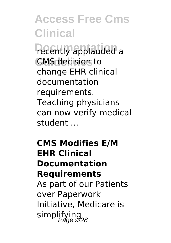*<u>recently</u>* applauded a **CMS** decision to change EHR clinical documentation requirements. Teaching physicians can now verify medical student ...

### **CMS Modifies E/M EHR Clinical Documentation Requirements** As part of our Patients over Paperwork Initiative, Medicare is simplifying<br><sup>9/28</sup>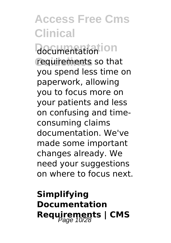**Documentation** documentation requirements so that you spend less time on paperwork, allowing you to focus more on your patients and less on confusing and timeconsuming claims documentation. We've made some important changes already. We need your suggestions on where to focus next.

**Simplifying Documentation Requirements | CMS**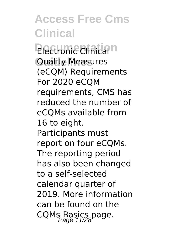**Electronic Clinical**<sup>n</sup> **Quality Measures** (eCQM) Requirements For 2020 eCQM requirements, CMS has reduced the number of eCQMs available from 16 to eight. Participants must report on four eCQMs. The reporting period has also been changed to a self-selected calendar quarter of 2019. More information can be found on the CQMs Basics page.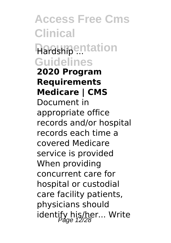**Access Free Cms Clinical Hardship**<sup>...</sup>...tation **Guidelines 2020 Program Requirements Medicare | CMS** Document in appropriate office records and/or hospital records each time a covered Medicare service is provided When providing concurrent care for hospital or custodial care facility patients, physicians should identify his/her... Write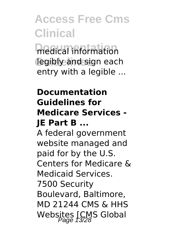medical information legibly and sign each entry with a legible ...

### **Documentation Guidelines for Medicare Services - JE Part B ...**

A federal government website managed and paid for by the U.S. Centers for Medicare & Medicaid Services. 7500 Security Boulevard, Baltimore, MD 21244 CMS & HHS Websites [CMS Global<br>Page 13/28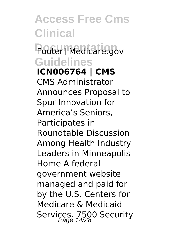### **Footer] Medicare.gov Guidelines**

**ICN006764 | CMS** CMS Administrator Announces Proposal to Spur Innovation for America's Seniors, Participates in Roundtable Discussion Among Health Industry Leaders in Minneapolis Home A federal government website managed and paid for by the U.S. Centers for Medicare & Medicaid Services. 7500 Security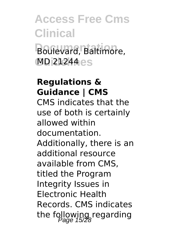# **Access Free Cms Clinical** Boulevard, Baltimore, **Guidelines** MD 21244

#### **Regulations & Guidance | CMS**

CMS indicates that the use of both is certainly allowed within documentation. Additionally, there is an additional resource available from CMS, titled the Program Integrity Issues in Electronic Health Records. CMS indicates the following regarding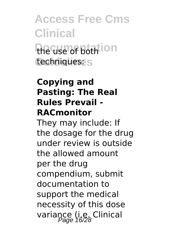# **Access Free Cms Clinical** the use of both ion techniques: s

### **Copying and Pasting: The Real Rules Prevail - RACmonitor**

They may include: If the dosage for the drug under review is outside the allowed amount per the drug compendium, submit documentation to support the medical necessity of this dose variance (i.e. Clinical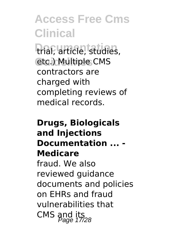**Documentation** trial, article, studies, etc.) Multiple CMS contractors are charged with completing reviews of medical records.

### **Drugs, Biologicals and Injections Documentation ... - Medicare** fraud. We also reviewed guidance documents and policies on EHRs and fraud vulnerabilities that CMS and its<br>Page 17/28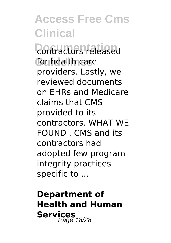**Contractors** released for health care providers. Lastly, we reviewed documents on EHRs and Medicare claims that CMS provided to its contractors. WHAT WE FOUND . CMS and its contractors had adopted few program integrity practices specific to ...

**Department of Health and Human** Services<sub>18/28</sub>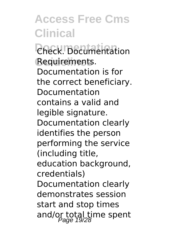**Documentation** Check. Documentation Requirements. Documentation is for the correct beneficiary. Documentation contains a valid and legible signature. Documentation clearly identifies the person performing the service (including title, education background, credentials) Documentation clearly demonstrates session start and stop times and/or total time spent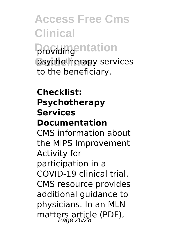**Access Free Cms Clinical providing ntation** psychotherapy services to the beneficiary.

#### **Checklist: Psychotherapy Services Documentation**

CMS information about the MIPS Improvement Activity for participation in a COVID-19 clinical trial. CMS resource provides additional guidance to physicians. In an MLN matters article (PDF),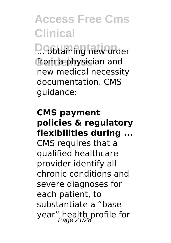**D. obtaining new order** from a physician and new medical necessity documentation. CMS guidance:

### **CMS payment policies & regulatory flexibilities during ...** CMS requires that a qualified healthcare provider identify all chronic conditions and severe diagnoses for each patient, to substantiate a "base year" health profile for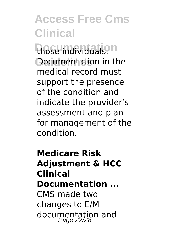those individuals.<sup>n</sup> Documentation in the medical record must support the presence of the condition and indicate the provider's assessment and plan for management of the condition.

### **Medicare Risk Adjustment & HCC Clinical Documentation ...** CMS made two changes to E/M documentation and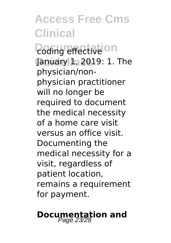*<u>Doding</u>* effective<sup>Ion</sup> January 1, 2019: 1. The physician/nonphysician practitioner will no longer be required to document the medical necessity of a home care visit versus an office visit. Documenting the medical necessity for a visit, regardless of patient location, remains a requirement for payment.

# **Documentation and**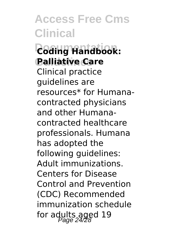**Documentation Coding Handbook: Guidelines Palliative Care** Clinical practice guidelines are resources\* for Humanacontracted physicians and other Humanacontracted healthcare professionals. Humana has adopted the following guidelines: Adult immunizations. Centers for Disease Control and Prevention (CDC) Recommended immunization schedule for adults aged 19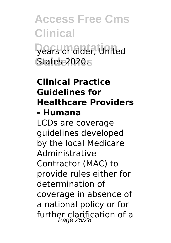# **Access Free Cms Clinical Documentation** years or older, United States 2020<sub>S</sub>

### **Clinical Practice Guidelines for Healthcare Providers - Humana** LCDs are coverage guidelines developed by the local Medicare Administrative Contractor (MAC) to provide rules either for determination of coverage in absence of a national policy or for

further clarification of a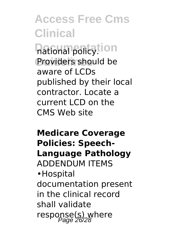**national policy**!ion Providers should be aware of LCDs published by their local contractor. Locate a current LCD on the CMS Web site

### **Medicare Coverage Policies: Speech-Language Pathology** ADDENDUM ITEMS •Hospital documentation present in the clinical record shall validate response(s) where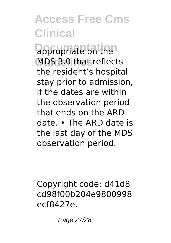**appropriate on the** MDS 3.0 that reflects the resident's hospital stay prior to admission, if the dates are within the observation period that ends on the ARD date. • The ARD date is the last day of the MDS observation period.

Copyright code: d41d8 cd98f00b204e9800998 ecf8427e.

Page 27/28